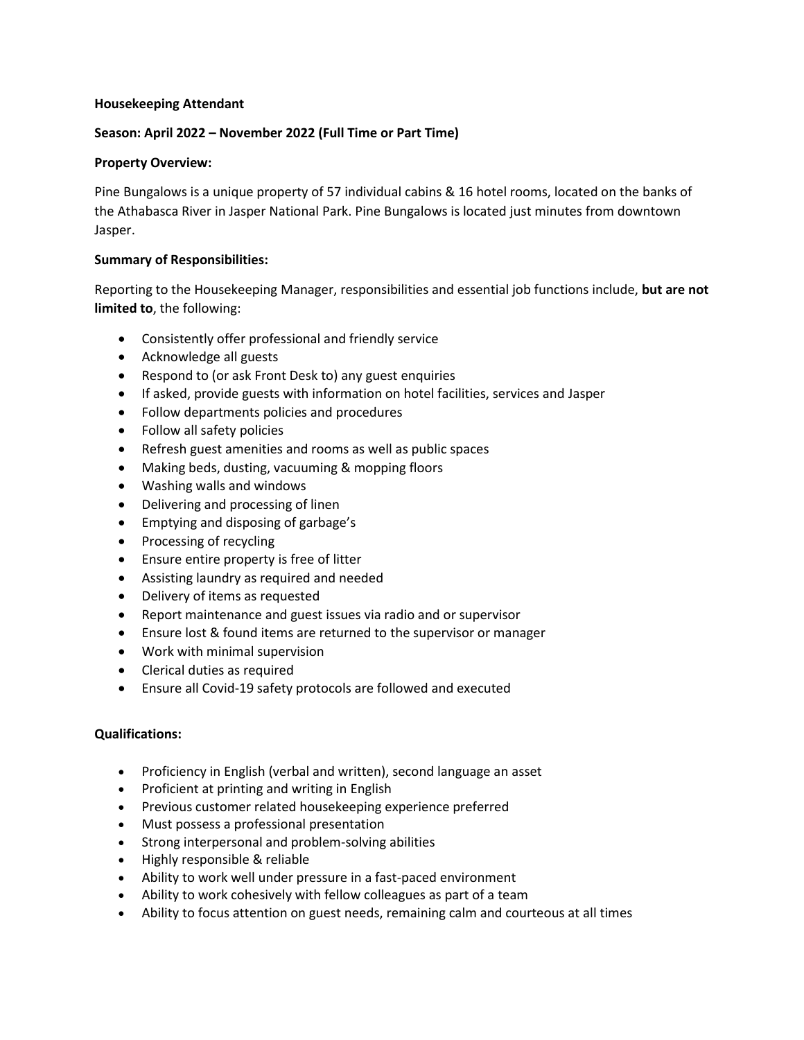#### **Housekeeping Attendant**

# **Season: April 2022 – November 2022 (Full Time or Part Time)**

# **Property Overview:**

Pine Bungalows is a unique property of 57 individual cabins & 16 hotel rooms, located on the banks of the Athabasca River in Jasper National Park. Pine Bungalows is located just minutes from downtown Jasper.

#### **Summary of Responsibilities:**

Reporting to the Housekeeping Manager, responsibilities and essential job functions include, **but are not limited to**, the following:

- Consistently offer professional and friendly service
- Acknowledge all guests
- Respond to (or ask Front Desk to) any guest enquiries
- If asked, provide guests with information on hotel facilities, services and Jasper
- Follow departments policies and procedures
- Follow all safety policies
- Refresh guest amenities and rooms as well as public spaces
- Making beds, dusting, vacuuming & mopping floors
- Washing walls and windows
- Delivering and processing of linen
- Emptying and disposing of garbage's
- Processing of recycling
- Ensure entire property is free of litter
- Assisting laundry as required and needed
- Delivery of items as requested
- Report maintenance and guest issues via radio and or supervisor
- Ensure lost & found items are returned to the supervisor or manager
- Work with minimal supervision
- Clerical duties as required
- Ensure all Covid-19 safety protocols are followed and executed

# **Qualifications:**

- Proficiency in English (verbal and written), second language an asset
- Proficient at printing and writing in English
- Previous customer related housekeeping experience preferred
- Must possess a professional presentation
- Strong interpersonal and problem-solving abilities
- Highly responsible & reliable
- Ability to work well under pressure in a fast-paced environment
- Ability to work cohesively with fellow colleagues as part of a team
- Ability to focus attention on guest needs, remaining calm and courteous at all times